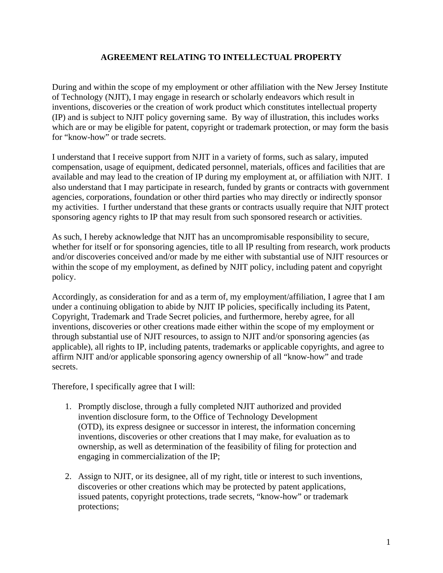#### **AGREEMENT RELATING TO INTELLECTUAL PROPERTY**

During and within the scope of my employment or other affiliation with the New Jersey Institute of Technology (NJIT), I may engage in research or scholarly endeavors which result in inventions, discoveries or the creation of work product which constitutes intellectual property (IP) and is subject to NJIT policy governing same. By way of illustration, this includes works which are or may be eligible for patent, copyright or trademark protection, or may form the basis for "know-how" or trade secrets.

I understand that I receive support from NJIT in a variety of forms, such as salary, imputed compensation, usage of equipment, dedicated personnel, materials, offices and facilities that are available and may lead to the creation of IP during my employment at, or affiliation with NJIT. I also understand that I may participate in research, funded by grants or contracts with government agencies, corporations, foundation or other third parties who may directly or indirectly sponsor my activities. I further understand that these grants or contracts usually require that NJIT protect sponsoring agency rights to IP that may result from such sponsored research or activities.

As such, I hereby acknowledge that NJIT has an uncompromisable responsibility to secure, whether for itself or for sponsoring agencies, title to all IP resulting from research, work products and/or discoveries conceived and/or made by me either with substantial use of NJIT resources or within the scope of my employment, as defined by NJIT policy, including patent and copyright policy.

Accordingly, as consideration for and as a term of, my employment/affiliation, I agree that I am under a continuing obligation to abide by NJIT IP policies, specifically including its Patent, Copyright, Trademark and Trade Secret policies, and furthermore, hereby agree, for all inventions, discoveries or other creations made either within the scope of my employment or through substantial use of NJIT resources, to assign to NJIT and/or sponsoring agencies (as applicable), all rights to IP, including patents, trademarks or applicable copyrights, and agree to affirm NJIT and/or applicable sponsoring agency ownership of all "know-how" and trade secrets.

Therefore, I specifically agree that I will:

- 1. Promptly disclose, through a fully completed NJIT authorized and provided invention disclosure form, to the Office of Technology Development (OTD), its express designee or successor in interest, the information concerning inventions, discoveries or other creations that I may make, for evaluation as to ownership, as well as determination of the feasibility of filing for protection and engaging in commercialization of the IP;
- 2. Assign to NJIT, or its designee, all of my right, title or interest to such inventions, discoveries or other creations which may be protected by patent applications, issued patents, copyright protections, trade secrets, "know-how" or trademark protections;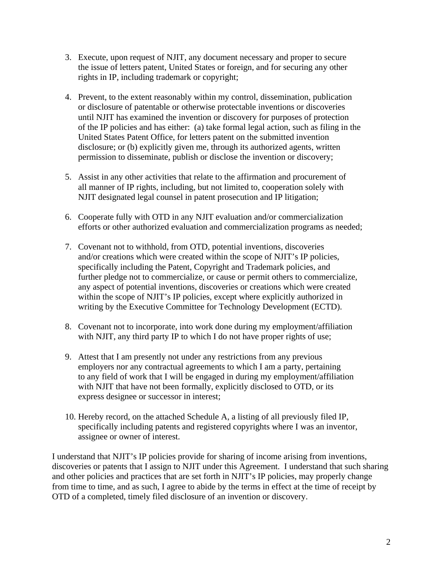- 3. Execute, upon request of NJIT, any document necessary and proper to secure the issue of letters patent, United States or foreign, and for securing any other rights in IP, including trademark or copyright;
- 4. Prevent, to the extent reasonably within my control, dissemination, publication or disclosure of patentable or otherwise protectable inventions or discoveries until NJIT has examined the invention or discovery for purposes of protection of the IP policies and has either: (a) take formal legal action, such as filing in the United States Patent Office, for letters patent on the submitted invention disclosure; or (b) explicitly given me, through its authorized agents, written permission to disseminate, publish or disclose the invention or discovery;
- 5. Assist in any other activities that relate to the affirmation and procurement of all manner of IP rights, including, but not limited to, cooperation solely with NJIT designated legal counsel in patent prosecution and IP litigation;
- 6. Cooperate fully with OTD in any NJIT evaluation and/or commercialization efforts or other authorized evaluation and commercialization programs as needed;
- 7. Covenant not to withhold, from OTD, potential inventions, discoveries and/or creations which were created within the scope of NJIT's IP policies, specifically including the Patent, Copyright and Trademark policies, and further pledge not to commercialize, or cause or permit others to commercialize, any aspect of potential inventions, discoveries or creations which were created within the scope of NJIT's IP policies, except where explicitly authorized in writing by the Executive Committee for Technology Development (ECTD).
- 8. Covenant not to incorporate, into work done during my employment/affiliation with NJIT, any third party IP to which I do not have proper rights of use;
- 9. Attest that I am presently not under any restrictions from any previous employers nor any contractual agreements to which I am a party, pertaining to any field of work that I will be engaged in during my employment/affiliation with NJIT that have not been formally, explicitly disclosed to OTD, or its express designee or successor in interest;
- 10. Hereby record, on the attached Schedule A, a listing of all previously filed IP, specifically including patents and registered copyrights where I was an inventor, assignee or owner of interest.

I understand that NJIT's IP policies provide for sharing of income arising from inventions, discoveries or patents that I assign to NJIT under this Agreement. I understand that such sharing and other policies and practices that are set forth in NJIT's IP policies, may properly change from time to time, and as such, I agree to abide by the terms in effect at the time of receipt by OTD of a completed, timely filed disclosure of an invention or discovery.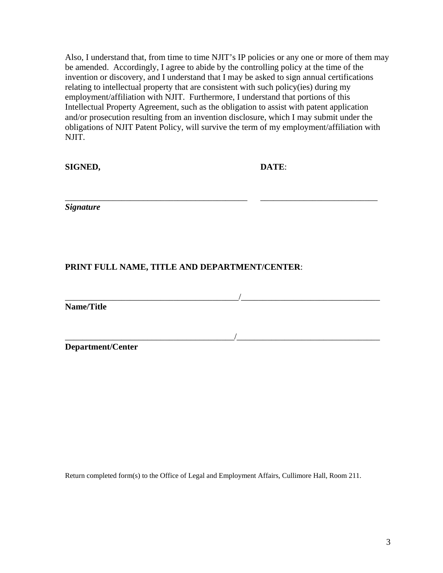Also, I understand that, from time to time NJIT's IP policies or any one or more of them may be amended. Accordingly, I agree to abide by the controlling policy at the time of the invention or discovery, and I understand that I may be asked to sign annual certifications relating to intellectual property that are consistent with such policy(ies) during my employment/affiliation with NJIT. Furthermore, I understand that portions of this Intellectual Property Agreement, such as the obligation to assist with patent application and/or prosecution resulting from an invention disclosure, which I may submit under the obligations of NJIT Patent Policy, will survive the term of my employment/affiliation with NJIT.

\_\_\_\_\_\_\_\_\_\_\_\_\_\_\_\_\_\_\_\_\_\_\_\_\_\_\_\_\_\_\_\_\_\_\_\_\_\_\_\_\_\_ \_\_\_\_\_\_\_\_\_\_\_\_\_\_\_\_\_\_\_\_\_\_\_\_\_\_\_

\_\_\_\_\_\_\_\_\_\_\_\_\_\_\_\_\_\_\_\_\_\_\_\_\_\_\_\_\_\_\_\_\_\_\_\_\_\_\_\_/\_\_\_\_\_\_\_\_\_\_\_\_\_\_\_\_\_\_\_\_\_\_\_\_\_\_\_\_\_\_\_\_

\_\_\_\_\_\_\_\_\_\_\_\_\_\_\_\_\_\_\_\_\_\_\_\_\_\_\_\_\_\_\_\_\_\_\_\_\_\_\_/\_\_\_\_\_\_\_\_\_\_\_\_\_\_\_\_\_\_\_\_\_\_\_\_\_\_\_\_\_\_\_\_\_

**SIGNED, DATE**:

*Signature* 

### **PRINT FULL NAME, TITLE AND DEPARTMENT/CENTER**:

**Name/Title**

**Department/Center** 

Return completed form(s) to the Office of Legal and Employment Affairs, Cullimore Hall, Room 211.